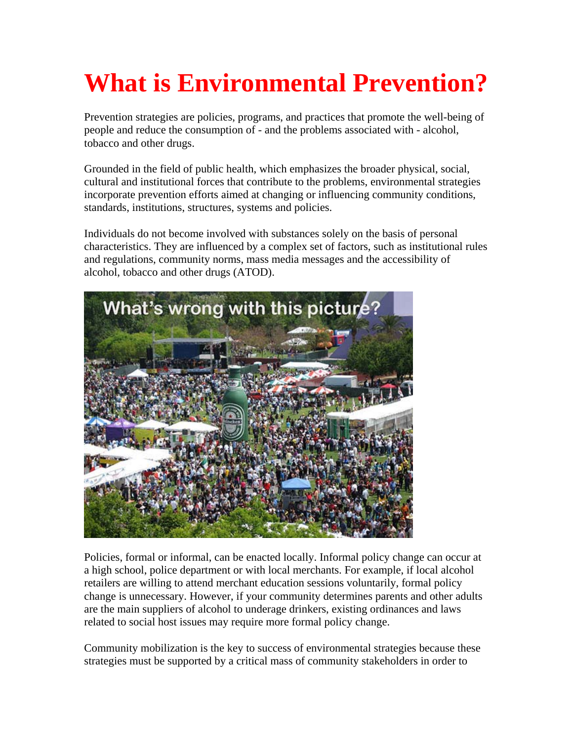# **What is Environmental Prevention?**

Prevention strategies are policies, programs, and practices that promote the well-being of people and reduce the consumption of - and the problems associated with - alcohol, tobacco and other drugs.

Grounded in the field of public health, which emphasizes the broader physical, social, cultural and institutional forces that contribute to the problems, environmental strategies incorporate prevention efforts aimed at changing or influencing community conditions, standards, institutions, structures, systems and policies.

Individuals do not become involved with substances solely on the basis of personal characteristics. They are influenced by a complex set of factors, such as institutional rules and regulations, community norms, mass media messages and the accessibility of alcohol, tobacco and other drugs (ATOD).



Policies, formal or informal, can be enacted locally. Informal policy change can occur at a high school, police department or with local merchants. For example, if local alcohol retailers are willing to attend merchant education sessions voluntarily, formal policy change is unnecessary. However, if your community determines parents and other adults are the main suppliers of alcohol to underage drinkers, existing ordinances and laws related to social host issues may require more formal policy change.

Community mobilization is the key to success of environmental strategies because these strategies must be supported by a critical mass of community stakeholders in order to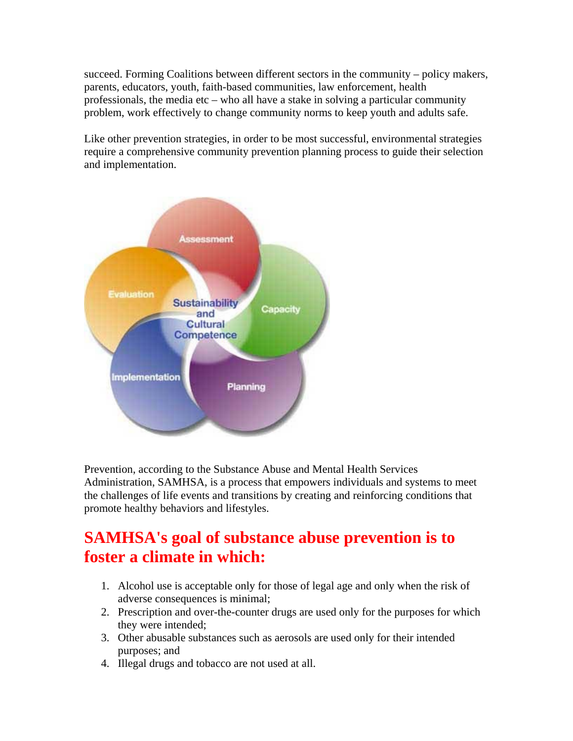succeed. Forming Coalitions between different sectors in the community – policy makers, parents, educators, youth, faith-based communities, law enforcement, health professionals, the media etc – who all have a stake in solving a particular community problem, work effectively to change community norms to keep youth and adults safe.

Like other prevention strategies, in order to be most successful, environmental strategies require a comprehensive community prevention planning process to guide their selection and implementation.



Prevention, according to the Substance Abuse and Mental Health Services Administration, SAMHSA, is a process that empowers individuals and systems to meet the challenges of life events and transitions by creating and reinforcing conditions that promote healthy behaviors and lifestyles.

## **SAMHSA's goal of substance abuse prevention is to foster a climate in which:**

- 1. Alcohol use is acceptable only for those of legal age and only when the risk of adverse consequences is minimal;
- 2. Prescription and over-the-counter drugs are used only for the purposes for which they were intended;
- 3. Other abusable substances such as aerosols are used only for their intended purposes; and
- 4. Illegal drugs and tobacco are not used at all.